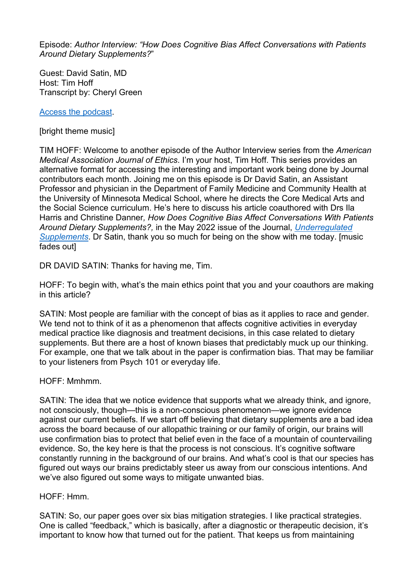Episode: *Author Interview: "How Does Cognitive Bias Affect Conversations with Patients Around Dietary Supplements?*"

Guest: David Satin, MD Host: Tim Hoff Transcript by: Cheryl Green

[Access the podcast.](https://journalofethics.ama-assn.org/podcast/author-interview-how-does-cognitive-bias-affect-conversations-patients-about-dietary-supplements)

[bright theme music]

TIM HOFF: Welcome to another episode of the Author Interview series from the *American Medical Association Journal of Ethics*. I'm your host, Tim Hoff. This series provides an alternative format for accessing the interesting and important work being done by Journal contributors each month. Joining me on this episode is Dr David Satin, an Assistant Professor and physician in the Department of Family Medicine and Community Health at the University of Minnesota Medical School, where he directs the Core Medical Arts and the Social Science curriculum. He's here to discuss his article coauthored with Drs Ila Harris and Christine Danner*, How Does Cognitive Bias Affect Conversations With Patients Around Dietary Supplements?,* in the May 2022 issue of the Journal, *[Underregulated](https://journalofethics.ama-assn.org/issue/unregulated-supplements)  [Supplements](https://journalofethics.ama-assn.org/issue/unregulated-supplements)*. Dr Satin, thank you so much for being on the show with me today. [music fades out]

DR DAVID SATIN: Thanks for having me, Tim.

HOFF: To begin with, what's the main ethics point that you and your coauthors are making in this article?

SATIN: Most people are familiar with the concept of bias as it applies to race and gender. We tend not to think of it as a phenomenon that affects cognitive activities in everyday medical practice like diagnosis and treatment decisions, in this case related to dietary supplements. But there are a host of known biases that predictably muck up our thinking. For example, one that we talk about in the paper is confirmation bias. That may be familiar to your listeners from Psych 101 or everyday life.

HOFF: Mmhmm.

SATIN: The idea that we notice evidence that supports what we already think, and ignore, not consciously, though—this is a non-conscious phenomenon—we ignore evidence against our current beliefs. If we start off believing that dietary supplements are a bad idea across the board because of our allopathic training or our family of origin, our brains will use confirmation bias to protect that belief even in the face of a mountain of countervailing evidence. So, the key here is that the process is not conscious. It's cognitive software constantly running in the background of our brains. And what's cool is that our species has figured out ways our brains predictably steer us away from our conscious intentions. And we've also figured out some ways to mitigate unwanted bias.

HOFF: Hmm.

SATIN: So, our paper goes over six bias mitigation strategies. I like practical strategies. One is called "feedback," which is basically, after a diagnostic or therapeutic decision, it's important to know how that turned out for the patient. That keeps us from maintaining